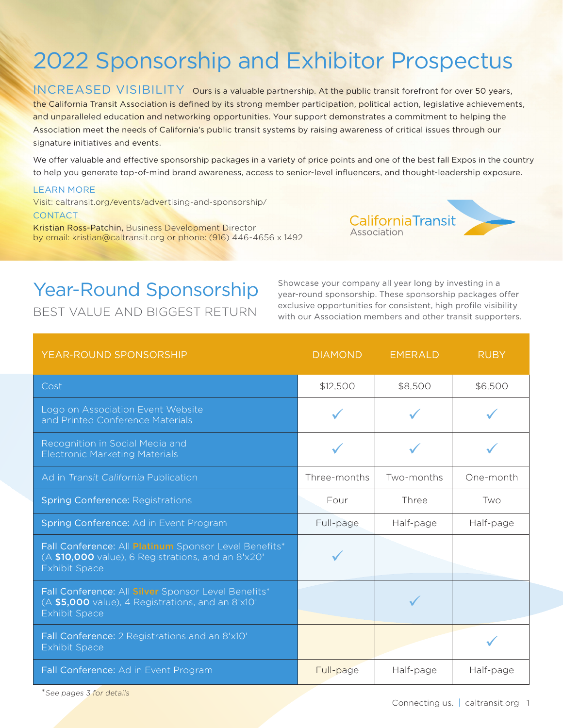## 2022 Sponsorship and Exhibitor Prospectus

INCREASED VISIBILITY Ours is a valuable partnership. At the public transit forefront for over 50 years, the California Transit Association is defined by its strong member participation, political action, legislative achievements, and unparalleled education and networking opportunities. Your support demonstrates a commitment to helping the Association meet the needs of California's public transit systems by raising awareness of critical issues through our signature initiatives and events.

We offer valuable and effective sponsorship packages in a variety of price points and one of the best fall Expos in the country to help you generate top-of-mind brand awareness, access to senior-level influencers, and thought-leadership exposure.

#### LEARN MORE

Visit: caltransit.org/events/advertising-and-sponsorship/

#### **CONTACT**

Kristian Ross-Patchin, Business Development Director by email: kristian@caltransit.org or phone: (916) 446-4656 x 1492



### Year-Round Sponsorship

BEST VALUE AND BIGGEST RETURN

Showcase your company all year long by investing in a year-round sponsorship. These sponsorship packages offer exclusive opportunities for consistent, high profile visibility with our Association members and other transit supporters.

| <b>YEAR-ROUND SPONSORSHIP</b>                                                                                                       | <b>DIAMOND</b> | <b>EMERALD</b> | <b>RUBY</b> |
|-------------------------------------------------------------------------------------------------------------------------------------|----------------|----------------|-------------|
| Cost                                                                                                                                | \$12,500       | \$8,500        | \$6,500     |
| Logo on Association Event Website<br>and Printed Conference Materials                                                               |                |                |             |
| Recognition in Social Media and<br><b>Electronic Marketing Materials</b>                                                            |                |                |             |
| Ad in Transit California Publication                                                                                                | Three-months   | Two-months     | One-month   |
| <b>Spring Conference: Registrations</b>                                                                                             | Four           | Three          | Two         |
| Spring Conference: Ad in Event Program                                                                                              | Full-page      | Half-page      | Half-page   |
| Fall Conference: All Platinum Sponsor Level Benefits*<br>(A \$10,000 value), 6 Registrations, and an 8'x20'<br><b>Exhibit Space</b> |                |                |             |
| Fall Conference: All Silver Sponsor Level Benefits*<br>(A \$5,000 value), 4 Registrations, and an 8'x10'<br><b>Exhibit Space</b>    |                |                |             |
| Fall Conference: 2 Registrations and an 8'x10'<br><b>Exhibit Space</b>                                                              |                |                |             |
| Fall Conference: Ad in Event Program                                                                                                | Full-page      | Half-page      | Half-page   |

<sup>\*</sup>See pages 3 for details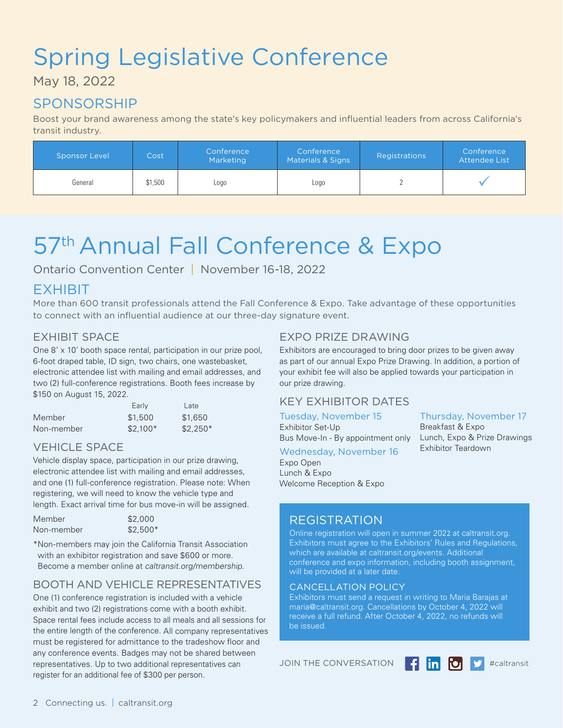# Spring Legislative Conference

May 18, 2022

### SPONSORSHIP

Boost your brand awareness among the state's key policymakers and influential leaders from across California's transit industry.

| Sponsor Level | Cost    | Conference<br>Marketing | Conference<br>Materials & Signs | Registrations | Conference<br>Attendee List |
|---------------|---------|-------------------------|---------------------------------|---------------|-----------------------------|
| General       | \$1,500 | Logo                    | LOGO                            |               |                             |

# 57<sup>th</sup> Annual Fall Conference & Expo

Ontario Convention Center | November 16-18, 2022

### EXHIBIT

More than 600 transit professionals attend the Fall Conference & Expo. Take advantage of these opportunities to connect with an influential audience at our three-day signature event.

#### EXHIBIT SPACE

One 8' x 10' booth space rental, participation in our prize pool, 6-foot draped table, ID sign, two chairs, one wastebasket, electronic attendee list with mailing and email addresses, and two (2) full-conference registrations. Booth fees increase by \$150 on August 15, 2022.

|            | Early     | Late      |
|------------|-----------|-----------|
| Member     | \$1,500   | \$1.650   |
| Non-member | $$2.100*$ | $$2.250*$ |

#### VEHICLE SPACE

Vehicle display space, participation in our prize drawing, electronic attendee list with mailing and email addresses, and one (1) full-conference registration. Please note: When registering, we will need to know the vehicle type and length. Exact arrival time for bus move-in will be assigned.

| Member     | \$2,000   |
|------------|-----------|
| Non-member | $$2,500*$ |

\*Non-members may join the California Transit Association with an exhibitor registration and save \$600 or more. Become a member online at caltransit.org/membership.

#### BOOTH AND VEHICLE REPRESENTATIVES

One (1) conference registration is included with a vehicle exhibit and two (2) registrations come with a booth exhibit. Space rental fees include access to all meals and all sessions for the entire length of the conference. All company representatives must be registered for admittance to the tradeshow floor and any conference events. Badges may not be shared between representatives. Up to two additional representatives can register for an additional fee of \$300 per person.

#### EXPO PRIZE DRAWING

Exhibitors are encouraged to bring door prizes to be given away as part of our annual Expo Prize Drawing. In addition, a portion of your exhibit fee will also be applied towards your participation in our prize drawing.

#### KEY EXHIBITOR DATES

Tuesday, November 15 Exhibitor Set-Up Bus Move-In - By appointment only

### Wednesday, November 16

Expo Open Lunch & Expo Welcome Reception & Expo

#### REGISTRATION

Online registration will open in summer 2022 at caltransit.org. Exhibitors must agree to the Exhibitors' Rules and Regulations, which are available at caltransit.org/events. Additional conference and expo information, including booth assignment, will be provided at a later date.

#### CANCELLATION POLICY

Exhibitors must send a request in writing to Maria Barajas at maria@caltransit.org. Cancellations by October 4, 2022 will receive a full refund. After October 4, 2022, no refunds will be issued.

JOIN THE CONVERSATION **4 in OD** S<sup>2</sup> #caltransit



Thursday, November 17

Lunch, Expo & Prize Drawings

Breakfast & Expo

Exhibitor Teardown